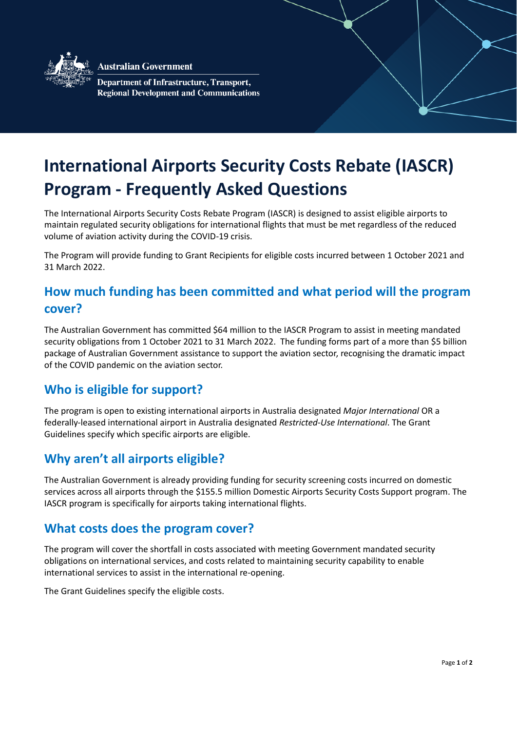

**Australian Government** 

Department of Infrastructure, Transport, **Regional Development and Communications** 

# **International Airports Security Costs Rebate (IASCR) Program - Frequently Asked Questions**

The International Airports Security Costs Rebate Program (IASCR) is designed to assist eligible airports to maintain regulated security obligations for international flights that must be met regardless of the reduced volume of aviation activity during the COVID-19 crisis.

The Program will provide funding to Grant Recipients for eligible costs incurred between 1 October 2021 and 31 March 2022.

# **How much funding has been committed and what period will the program cover?**

The Australian Government has committed \$64 million to the IASCR Program to assist in meeting mandated security obligations from 1 October 2021 to 31 March 2022. The funding forms part of a more than \$5 billion package of Australian Government assistance to support the aviation sector, recognising the dramatic impact of the COVID pandemic on the aviation sector.

### **Who is eligible for support?**

The program is open to existing international airports in Australia designated *Major International* OR a federally-leased international airport in Australia designated *Restricted-Use International*. The Grant Guidelines specify which specific airports are eligible.

### **Why aren't all airports eligible?**

The Australian Government is already providing funding for security screening costs incurred on domestic services across all airports through the \$155.5 million Domestic Airports Security Costs Support program. The IASCR program is specifically for airports taking international flights.

#### **What costs does the program cover?**

The program will cover the shortfall in costs associated with meeting Government mandated security obligations on international services, and costs related to maintaining security capability to enable international services to assist in the international re-opening.

The Grant Guidelines specify the eligible costs.